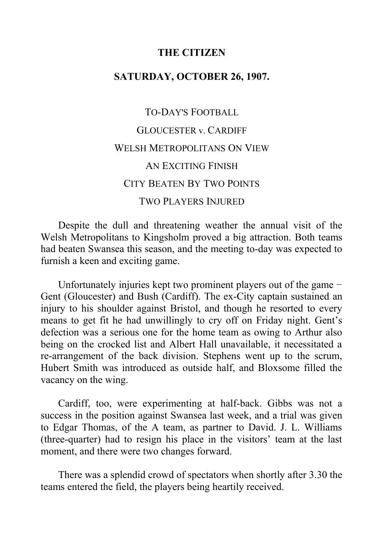#### **THE CITIZEN**

## **SATURDAY, OCTOBER 26, 1907.**

# TO-DAY'S FOOTBALL GLOUCESTER v. CARDIFF WELSH METROPOLITANS ON VIEW AN EXCITING FINISH CITY BEATEN BY TWO POINTS TWO PLAYERS INJURED

Despite the dull and threatening weather the annual visit of the Welsh Metropolitans to Kingsholm proved a big attraction. Both teams had beaten Swansea this season, and the meeting to-day was expected to furnish a keen and exciting game.

Unfortunately injuries kept two prominent players out of the game − Gent (Gloucester) and Bush (Cardiff). The ex-City captain sustained an injury to his shoulder against Bristol, and though he resorted to every means to get fit he had unwillingly to cry off on Friday night. Gent's defection was a serious one for the home team as owing to Arthur also being on the crocked list and Albert Hall unavailable, it necessitated a re-arrangement of the back division. Stephens went up to the scrum, Hubert Smith was introduced as outside half, and Bloxsome filled the vacancy on the wing.

Cardiff, too, were experimenting at half-back. Gibbs was not a success in the position against Swansea last week, and a trial was given to Edgar Thomas, of the A team, as partner to David. J. L. Williams (three-quarter) had to resign his place in the visitors' team at the last moment, and there were two changes forward.

There was a splendid crowd of spectators when shortly after 3.30 the teams entered the field, the players being heartily received.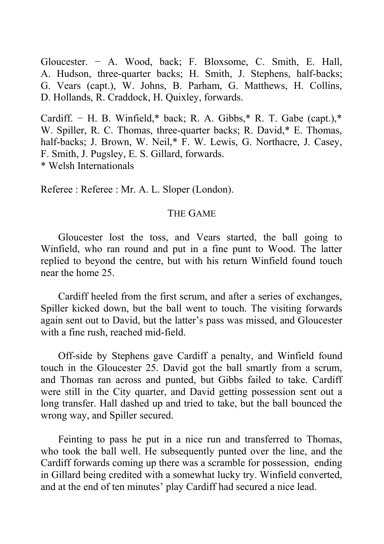Gloucester. − A. Wood, back; F. Bloxsome, C. Smith, E. Hall, A. Hudson, three-quarter backs; H. Smith, J. Stephens, half-backs; G. Vears (capt.), W. Johns, B. Parham, G. Matthews, H. Collins, D. Hollands, R. Craddock, H. Quixley, forwards.

Cardiff. – H. B. Winfield,\* back; R. A. Gibbs,\* R. T. Gabe (capt.),\* W. Spiller, R. C. Thomas, three-quarter backs; R. David,\* E. Thomas, half-backs; J. Brown, W. Neil,\* F. W. Lewis, G. Northacre, J. Casey, F. Smith, J. Pugsley, E. S. Gillard, forwards. \* Welsh Internationals

Referee : Referee : Mr. A. L. Sloper (London).

#### THE GAME

Gloucester lost the toss, and Vears started, the ball going to Winfield, who ran round and put in a fine punt to Wood. The latter replied to beyond the centre, but with his return Winfield found touch near the home 25.

Cardiff heeled from the first scrum, and after a series of exchanges, Spiller kicked down, but the ball went to touch. The visiting forwards again sent out to David, but the latter's pass was missed, and Gloucester with a fine rush, reached mid-field.

Off-side by Stephens gave Cardiff a penalty, and Winfield found touch in the Gloucester 25. David got the ball smartly from a scrum, and Thomas ran across and punted, but Gibbs failed to take. Cardiff were still in the City quarter, and David getting possession sent out a long transfer. Hall dashed up and tried to take, but the ball bounced the wrong way, and Spiller secured.

Feinting to pass he put in a nice run and transferred to Thomas, who took the ball well. He subsequently punted over the line, and the Cardiff forwards coming up there was a scramble for possession, ending in Gillard being credited with a somewhat lucky try. Winfield converted, and at the end of ten minutes' play Cardiff had secured a nice lead.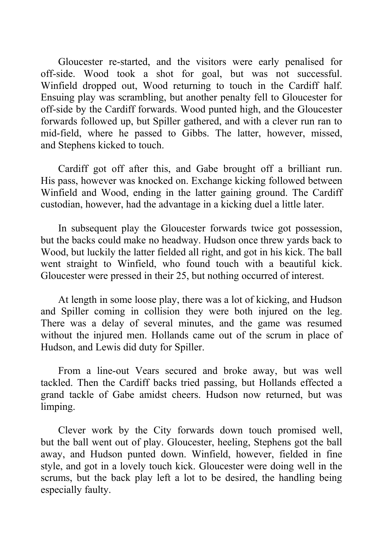Gloucester re-started, and the visitors were early penalised for off-side. Wood took a shot for goal, but was not successful. Winfield dropped out, Wood returning to touch in the Cardiff half. Ensuing play was scrambling, but another penalty fell to Gloucester for off-side by the Cardiff forwards. Wood punted high, and the Gloucester forwards followed up, but Spiller gathered, and with a clever run ran to mid-field, where he passed to Gibbs. The latter, however, missed, and Stephens kicked to touch.

Cardiff got off after this, and Gabe brought off a brilliant run. His pass, however was knocked on. Exchange kicking followed between Winfield and Wood, ending in the latter gaining ground. The Cardiff custodian, however, had the advantage in a kicking duel a little later.

In subsequent play the Gloucester forwards twice got possession, but the backs could make no headway. Hudson once threw yards back to Wood, but luckily the latter fielded all right, and got in his kick. The ball went straight to Winfield, who found touch with a beautiful kick. Gloucester were pressed in their 25, but nothing occurred of interest.

At length in some loose play, there was a lot of kicking, and Hudson and Spiller coming in collision they were both injured on the leg. There was a delay of several minutes, and the game was resumed without the injured men. Hollands came out of the scrum in place of Hudson, and Lewis did duty for Spiller.

From a line-out Vears secured and broke away, but was well tackled. Then the Cardiff backs tried passing, but Hollands effected a grand tackle of Gabe amidst cheers. Hudson now returned, but was limping.

Clever work by the City forwards down touch promised well, but the ball went out of play. Gloucester, heeling, Stephens got the ball away, and Hudson punted down. Winfield, however, fielded in fine style, and got in a lovely touch kick. Gloucester were doing well in the scrums, but the back play left a lot to be desired, the handling being especially faulty.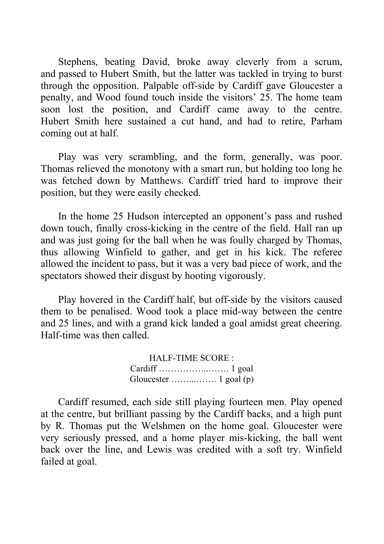Stephens, beating David, broke away cleverly from a scrum, and passed to Hubert Smith, but the latter was tackled in trying to burst through the opposition. Palpable off-side by Cardiff gave Gloucester a penalty, and Wood found touch inside the visitors' 25. The home team soon lost the position, and Cardiff came away to the centre. Hubert Smith here sustained a cut hand, and had to retire, Parham coming out at half.

Play was very scrambling, and the form, generally, was poor. Thomas relieved the monotony with a smart run, but holding too long he was fetched down by Matthews. Cardiff tried hard to improve their position, but they were easily checked.

In the home 25 Hudson intercepted an opponent's pass and rushed down touch, finally cross-kicking in the centre of the field. Hall ran up and was just going for the ball when he was foully charged by Thomas, thus allowing Winfield to gather, and get in his kick. The referee allowed the incident to pass, but it was a very bad piece of work, and the spectators showed their disgust by hooting vigorously.

Play hovered in the Cardiff half, but off-side by the visitors caused them to be penalised. Wood took a place mid-way between the centre and 25 lines, and with a grand kick landed a goal amidst great cheering. Half-time was then called.

> HALF-TIME SCORE : Cardiff ……………..……. 1 goal Gloucester ……...……. 1 goal (p)

Cardiff resumed, each side still playing fourteen men. Play opened at the centre, but brilliant passing by the Cardiff backs, and a high punt by R. Thomas put the Welshmen on the home goal. Gloucester were very seriously pressed, and a home player mis-kicking, the ball went back over the line, and Lewis was credited with a soft try. Winfield failed at goal.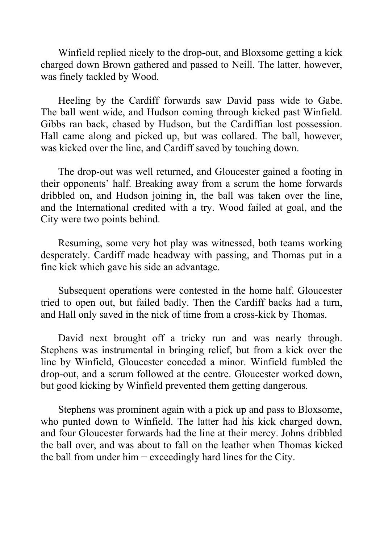Winfield replied nicely to the drop-out, and Bloxsome getting a kick charged down Brown gathered and passed to Neill. The latter, however, was finely tackled by Wood.

Heeling by the Cardiff forwards saw David pass wide to Gabe. The ball went wide, and Hudson coming through kicked past Winfield. Gibbs ran back, chased by Hudson, but the Cardiffian lost possession. Hall came along and picked up, but was collared. The ball, however, was kicked over the line, and Cardiff saved by touching down.

The drop-out was well returned, and Gloucester gained a footing in their opponents' half. Breaking away from a scrum the home forwards dribbled on, and Hudson joining in, the ball was taken over the line, and the International credited with a try. Wood failed at goal, and the City were two points behind.

Resuming, some very hot play was witnessed, both teams working desperately. Cardiff made headway with passing, and Thomas put in a fine kick which gave his side an advantage.

Subsequent operations were contested in the home half. Gloucester tried to open out, but failed badly. Then the Cardiff backs had a turn, and Hall only saved in the nick of time from a cross-kick by Thomas.

David next brought off a tricky run and was nearly through. Stephens was instrumental in bringing relief, but from a kick over the line by Winfield, Gloucester conceded a minor. Winfield fumbled the drop-out, and a scrum followed at the centre. Gloucester worked down, but good kicking by Winfield prevented them getting dangerous.

Stephens was prominent again with a pick up and pass to Bloxsome, who punted down to Winfield. The latter had his kick charged down, and four Gloucester forwards had the line at their mercy. Johns dribbled the ball over, and was about to fall on the leather when Thomas kicked the ball from under him  $-$  exceedingly hard lines for the City.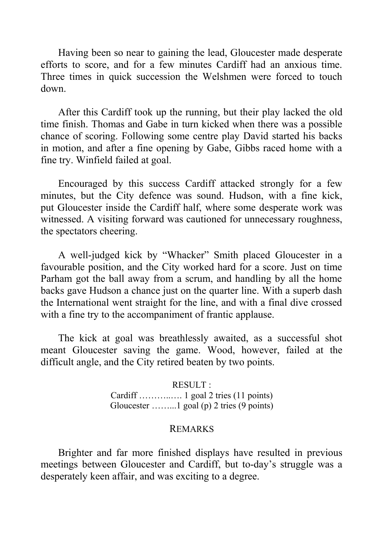Having been so near to gaining the lead, Gloucester made desperate efforts to score, and for a few minutes Cardiff had an anxious time. Three times in quick succession the Welshmen were forced to touch down.

After this Cardiff took up the running, but their play lacked the old time finish. Thomas and Gabe in turn kicked when there was a possible chance of scoring. Following some centre play David started his backs in motion, and after a fine opening by Gabe, Gibbs raced home with a fine try. Winfield failed at goal.

Encouraged by this success Cardiff attacked strongly for a few minutes, but the City defence was sound. Hudson, with a fine kick, put Gloucester inside the Cardiff half, where some desperate work was witnessed. A visiting forward was cautioned for unnecessary roughness, the spectators cheering.

A well-judged kick by "Whacker" Smith placed Gloucester in a favourable position, and the City worked hard for a score. Just on time Parham got the ball away from a scrum, and handling by all the home backs gave Hudson a chance just on the quarter line. With a superb dash the International went straight for the line, and with a final dive crossed with a fine try to the accompaniment of frantic applause.

The kick at goal was breathlessly awaited, as a successful shot meant Gloucester saving the game. Wood, however, failed at the difficult angle, and the City retired beaten by two points.

> RESULT : Cardiff ………..…. 1 goal 2 tries (11 points) Gloucester ……...1 goal (p) 2 tries (9 points)

#### REMARKS

Brighter and far more finished displays have resulted in previous meetings between Gloucester and Cardiff, but to-day's struggle was a desperately keen affair, and was exciting to a degree.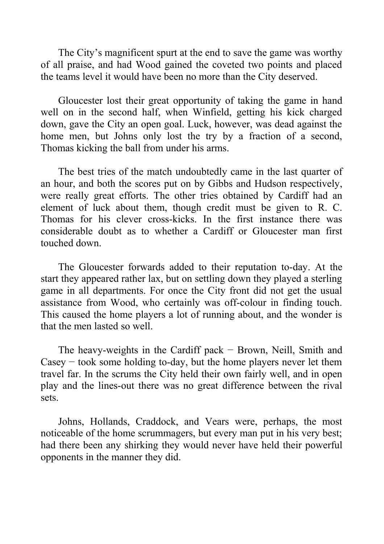The City's magnificent spurt at the end to save the game was worthy of all praise, and had Wood gained the coveted two points and placed the teams level it would have been no more than the City deserved.

Gloucester lost their great opportunity of taking the game in hand well on in the second half, when Winfield, getting his kick charged down, gave the City an open goal. Luck, however, was dead against the home men, but Johns only lost the try by a fraction of a second, Thomas kicking the ball from under his arms.

The best tries of the match undoubtedly came in the last quarter of an hour, and both the scores put on by Gibbs and Hudson respectively, were really great efforts. The other tries obtained by Cardiff had an element of luck about them, though credit must be given to R. C. Thomas for his clever cross-kicks. In the first instance there was considerable doubt as to whether a Cardiff or Gloucester man first touched down.

The Gloucester forwards added to their reputation to-day. At the start they appeared rather lax, but on settling down they played a sterling game in all departments. For once the City front did not get the usual assistance from Wood, who certainly was off-colour in finding touch. This caused the home players a lot of running about, and the wonder is that the men lasted so well.

The heavy-weights in the Cardiff pack − Brown, Neill, Smith and Casey − took some holding to-day, but the home players never let them travel far. In the scrums the City held their own fairly well, and in open play and the lines-out there was no great difference between the rival sets.

Johns, Hollands, Craddock, and Vears were, perhaps, the most noticeable of the home scrummagers, but every man put in his very best; had there been any shirking they would never have held their powerful opponents in the manner they did.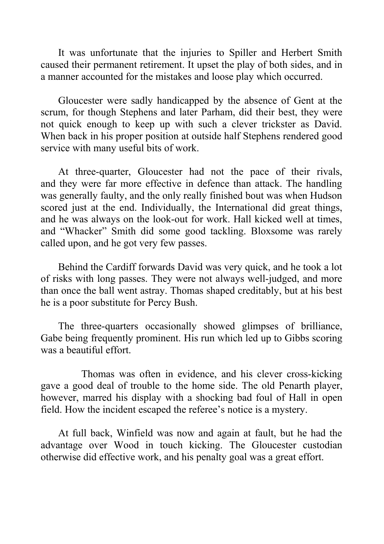It was unfortunate that the injuries to Spiller and Herbert Smith caused their permanent retirement. It upset the play of both sides, and in a manner accounted for the mistakes and loose play which occurred.

Gloucester were sadly handicapped by the absence of Gent at the scrum, for though Stephens and later Parham, did their best, they were not quick enough to keep up with such a clever trickster as David. When back in his proper position at outside half Stephens rendered good service with many useful bits of work.

At three-quarter, Gloucester had not the pace of their rivals, and they were far more effective in defence than attack. The handling was generally faulty, and the only really finished bout was when Hudson scored just at the end. Individually, the International did great things, and he was always on the look-out for work. Hall kicked well at times, and "Whacker" Smith did some good tackling. Bloxsome was rarely called upon, and he got very few passes.

Behind the Cardiff forwards David was very quick, and he took a lot of risks with long passes. They were not always well-judged, and more than once the ball went astray. Thomas shaped creditably, but at his best he is a poor substitute for Percy Bush.

The three-quarters occasionally showed glimpses of brilliance, Gabe being frequently prominent. His run which led up to Gibbs scoring was a beautiful effort.

Thomas was often in evidence, and his clever cross-kicking gave a good deal of trouble to the home side. The old Penarth player, however, marred his display with a shocking bad foul of Hall in open field. How the incident escaped the referee's notice is a mystery.

At full back, Winfield was now and again at fault, but he had the advantage over Wood in touch kicking. The Gloucester custodian otherwise did effective work, and his penalty goal was a great effort.